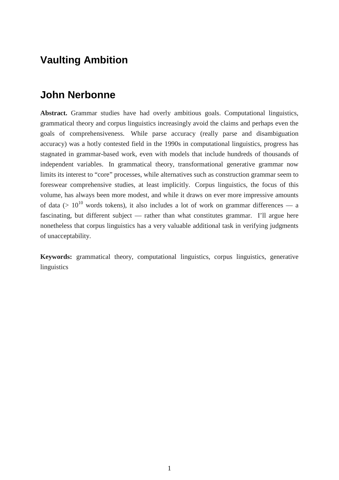# **Vaulting Ambition**

## **John Nerbonne**

**Abstract.** Grammar studies have had overly ambitious goals. Computational linguistics, grammatical theory and corpus linguistics increasingly avoid the claims and perhaps even the goals of comprehensiveness. While parse accuracy (really parse and disambiguation accuracy) was a hotly contested field in the 1990s in computational linguistics, progress has stagnated in grammar-based work, even with models that include hundreds of thousands of independent variables. In grammatical theory, transformational generative grammar now limits its interest to "core" processes, while alternatives such as construction grammar seem to foreswear comprehensive studies, at least implicitly. Corpus linguistics, the focus of this volume, has always been more modest, and while it draws on ever more impressive amounts of data ( $> 10^{10}$  words tokens), it also includes a lot of work on grammar differences — a fascinating, but different subject — rather than what constitutes grammar. I'll argue here nonetheless that corpus linguistics has a very valuable additional task in verifying judgments of unacceptability.

**Keywords:** grammatical theory, computational linguistics, corpus linguistics, generative linguistics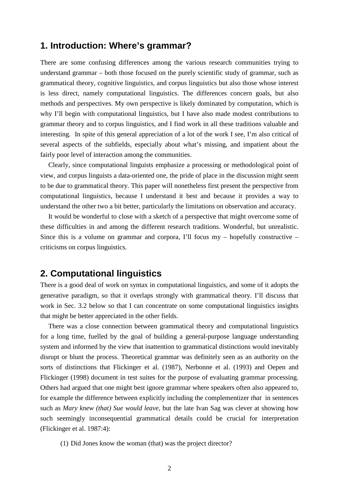## **1. Introduction: Where's grammar?**

There are some confusing differences among the various research communities trying to understand grammar – both those focused on the purely scientific study of grammar, such as grammatical theory, cognitive linguistics, and corpus linguistics but also those whose interest is less direct, namely computational linguistics. The differences concern goals, but also methods and perspectives. My own perspective is likely dominated by computation, which is why I'll begin with computational linguistics, but I have also made modest contributions to grammar theory and to corpus linguistics, and I find work in all these traditions valuable and interesting. In spite of this general appreciation of a lot of the work I see, I'm also critical of several aspects of the subfields, especially about what's missing, and impatient about the fairly poor level of interaction among the communities.

Clearly, since computational linguists emphasize a processing or methodological point of view, and corpus linguists a data-oriented one, the pride of place in the discussion might seem to be due to grammatical theory. This paper will nonetheless first present the perspective from computational linguistics, because I understand it best and because it provides a way to understand the other two a bit better, particularly the limitations on observation and accuracy.

It would be wonderful to close with a sketch of a perspective that might overcome some of these difficulties in and among the different research traditions. Wonderful, but unrealistic. Since this is a volume on grammar and corpora, I'll focus  $my$  – hopefully constructive – criticisms on corpus linguistics.

## **2. Computational linguistics**

There is a good deal of work on syntax in computational linguistics, and some of it adopts the generative paradigm, so that it overlaps strongly with grammatical theory. I'll discuss that work in Sec. 3.2 below so that I can concentrate on some computational linguistics insights that might be better appreciated in the other fields.

There was a close connection between grammatical theory and computational linguistics for a long time, fuelled by the goal of building a general-purpose language understanding system and informed by the view that inattention to grammatical distinctions would inevitably disrupt or blunt the process. Theoretical grammar was definitely seen as an authority on the sorts of distinctions that Flickinger et al. (1987), Nerbonne et al. (1993) and Oepen and Flickinger (1998) document in test suites for the purpose of evaluating grammar processing. Others had argued that one might best ignore grammar where speakers often also appeared to, for example the difference between explicitly including the complementizer *that* in sentences such as *Mary knew (that) Sue would leave*, but the late Ivan Sag was clever at showing how such seemingly inconsequential grammatical details could be crucial for interpretation (Flickinger et al. 1987:4):

(1) Did Jones know the woman (that) was the project director?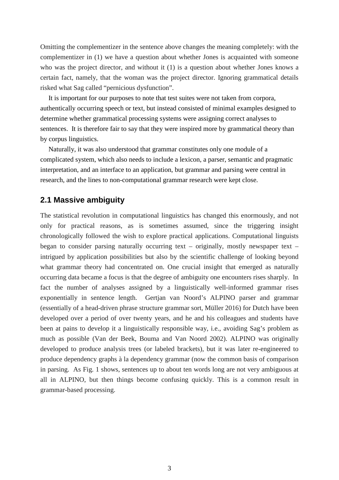Omitting the complementizer in the sentence above changes the meaning completely: with the complementizer in (1) we have a question about whether Jones is acquainted with someone who was the project director, and without it (1) is a question about whether Jones knows a certain fact, namely, that the woman was the project director. Ignoring grammatical details risked what Sag called "pernicious dysfunction".

It is important for our purposes to note that test suites were not taken from corpora, authentically occurring speech or text, but instead consisted of minimal examples designed to determine whether grammatical processing systems were assigning correct analyses to sentences. It is therefore fair to say that they were inspired more by grammatical theory than by corpus linguistics.

Naturally, it was also understood that grammar constitutes only one module of a complicated system, which also needs to include a lexicon, a parser, semantic and pragmatic interpretation, and an interface to an application, but grammar and parsing were central in research, and the lines to non-computational grammar research were kept close.

#### **2.1 Massive ambiguity**

The statistical revolution in computational linguistics has changed this enormously, and not only for practical reasons, as is sometimes assumed, since the triggering insight chronologically followed the wish to explore practical applications. Computational linguists began to consider parsing naturally occurring text – originally, mostly newspaper text – intrigued by application possibilities but also by the scientific challenge of looking beyond what grammar theory had concentrated on. One crucial insight that emerged as naturally occurring data became a focus is that the degree of ambiguity one encounters rises sharply. In fact the number of analyses assigned by a linguistically well-informed grammar rises exponentially in sentence length. Gertjan van Noord's ALPINO parser and grammar (essentially of a head-driven phrase structure grammar sort, Müller 2016) for Dutch have been developed over a period of over twenty years, and he and his colleagues and students have been at pains to develop it a linguistically responsible way, i.e., avoiding Sag's problem as much as possible (Van der Beek, Bouma and Van Noord 2002). ALPINO was originally developed to produce analysis trees (or labeled brackets), but it was later re-engineered to produce dependency graphs à la dependency grammar (now the common basis of comparison in parsing. As Fig. 1 shows, sentences up to about ten words long are not very ambiguous at all in ALPINO, but then things become confusing quickly. This is a common result in grammar-based processing.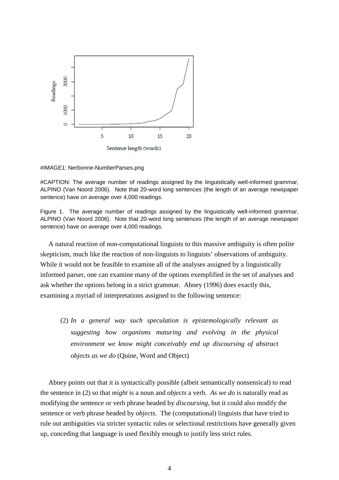

#IMAGE1: Nerbonne-NumberParses.png

#CAPTION: The average number of readings assigned by the linguistically well-informed grammar, ALPINO (Van Noord 2006). Note that 20-word long sentences (the length of an average newspaper sentence) have *on average* over 4,000 readings.

Figure 1. The average number of readings assigned by the linguistically well-informed grammar, ALPINO (Van Noord 2006). Note that 20-word long sentences (the length of an average newspaper sentence) have *on average* over 4,000 readings.

A natural reaction of non-computational linguists to this massive ambiguity is often polite skepticism, much like the reaction of non-linguists to linguists' observations of ambiguity. While it would not be feasible to examine all of the analyses assigned by a linguistically informed parser, one can examine many of the options exemplified in the set of analyses and ask whether the options belong in a strict grammar. Abney (1996) does exactly this, examining a myriad of interpretations assigned to the following sentence:

(2) *In a general way such speculation is epistemologically relevant as suggesting how organisms maturing and evolving in the physical environment we know might conceivably end up discoursing of abstract objects as we do* (Quine, Word and Object)

Abney points out that it is syntactically possible (albeit semantically nonsensical) to read the sentence in (2) so that *might* is a noun and *objects* a verb. *As we do* is naturally read as modifying the sentence or verb phrase headed by *discoursing*, but it could also modify the sentence or verb phrase headed by *objects*. The (computational) linguists that have tried to rule out ambiguities via stricter syntactic rules or selectional restrictions have generally given up, conceding that language is used flexibly enough to justify less strict rules.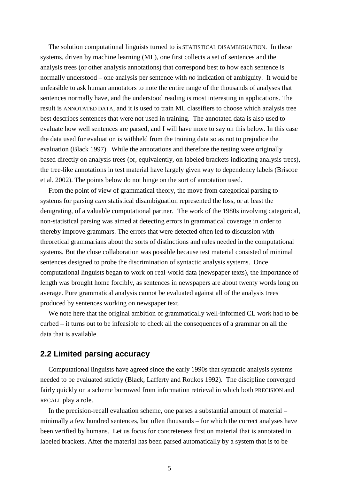The solution computational linguists turned to is STATISTICAL DISAMBIGUATION. In these systems, driven by machine learning (ML), one first collects a set of sentences and the analysis trees (or other analysis annotations) that correspond best to how each sentence is normally understood – one analysis per sentence with *no* indication of ambiguity. It would be unfeasible to ask human annotators to note the entire range of the thousands of analyses that sentences normally have, and the understood reading is most interesting in applications. The result is ANNOTATED DATA, and it is used to train ML classifiers to choose which analysis tree best describes sentences that were not used in training. The annotated data is also used to evaluate how well sentences are parsed, and I will have more to say on this below. In this case the data used for evaluation is withheld from the training data so as not to prejudice the evaluation (Black 1997). While the annotations and therefore the testing were originally based directly on analysis trees (or, equivalently, on labeled brackets indicating analysis trees), the tree-like annotations in test material have largely given way to dependency labels (Briscoe et al. 2002). The points below do not hinge on the sort of annotation used.

From the point of view of grammatical theory, the move from categorical parsing to systems for parsing *cum* statistical disambiguation represented the loss, or at least the denigrating, of a valuable computational partner. The work of the 1980s involving categorical, non-statistical parsing was aimed at detecting errors in grammatical coverage in order to thereby improve grammars. The errors that were detected often led to discussion with theoretical grammarians about the sorts of distinctions and rules needed in the computational systems. But the close collaboration was possible because test material consisted of minimal sentences designed to probe the discrimination of syntactic analysis systems. Once computational linguists began to work on real-world data (newspaper texts), the importance of length was brought home forcibly, as sentences in newspapers are about twenty words long on average. Pure grammatical analysis cannot be evaluated against all of the analysis trees produced by sentences working on newspaper text.

We note here that the original ambition of grammatically well-informed CL work had to be curbed – it turns out to be infeasible to check all the consequences of a grammar on all the data that is available.

#### **2.2 Limited parsing accuracy**

Computational linguists have agreed since the early 1990s that syntactic analysis systems needed to be evaluated strictly (Black, Lafferty and Roukos 1992). The discipline converged fairly quickly on a scheme borrowed from information retrieval in which both PRECISION and RECALL play a role.

In the precision-recall evaluation scheme, one parses a substantial amount of material – minimally a few hundred sentences, but often thousands – for which the correct analyses have been verified by humans. Let us focus for concreteness first on material that is annotated in labeled brackets. After the material has been parsed automatically by a system that is to be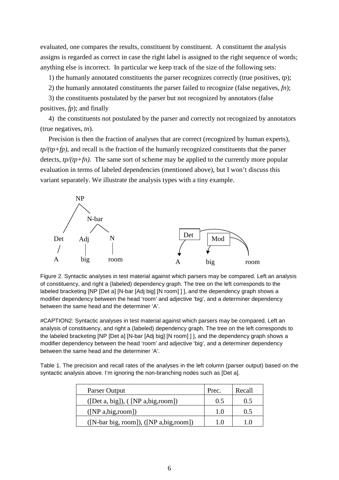evaluated, one compares the results, constituent by constituent. A constituent the analysis assigns is regarded as correct in case the right label is assigned to the right sequence of words; anything else is incorrect. In particular we keep track of the size of the following sets:

1) the humanly annotated constituents the parser recognizes correctly (true positives, *tp*);

2) the humanly annotated constituents the parser failed to recognize (false negatives, *fn*);

3) the constituents postulated by the parser but not recognized by annotators (false positives, *fp*); and finally

4) the constituents not postulated by the parser and correctly not recognized by annotators (true negatives, *tn*).

Precision is then the fraction of analyses that are correct (recognized by human experts), *tp/(tp+fp)*, and recall is the fraction of the humanly recognized constituents that the parser detects, *tp/(tp+fn)*. The same sort of scheme may be applied to the currently more popular evaluation in terms of labeled dependencies (mentioned above), but I won't discuss this variant separately. We illustrate the analysis types with a tiny example.



Figure 2. Syntactic analyses in test material against which parsers may be compared. Left an analysis of constituency, and right a (labeled) dependency graph. The tree on the left corresponds to the labeled bracketing [NP [Det a] [N-bar [Adj big] [N room] ] ], and the dependency graph shows a modifier dependency between the head 'room' and adjective 'big', and a determiner dependency between the same head and the determiner 'A'.

#CAPTION2: Syntactic analyses in test material against which parsers may be compared. Left an analysis of constituency, and right a (labeled) dependency graph. The tree on the left corresponds to the labeled bracketing [NP [Det a] [N-bar [Adj big] [N room] ] ], and the dependency graph shows a modifier dependency between the head 'room' and adjective 'big', and a determiner dependency between the same head and the determiner 'A'.

Table 1. The precision and recall rates of the analyses in the left column (parser output) based on the syntactic analysis above. I'm ignoring the non-branching nodes such as [Det a].

| Parser Output                             | Prec. | Recall |
|-------------------------------------------|-------|--------|
| ([Det a, big]), ([NP a,big,room])         | 0.5   | 0.5    |
| ([NP a, big, room])                       | 1.0   | 0.5    |
| $([N-bar big, room]), ([NP a,big, room])$ | 1.0   | 10     |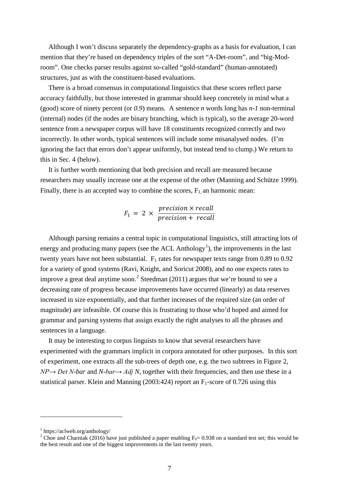Although I won't discuss separately the dependency-graphs as a basis for evaluation, I can mention that they're based on dependency triples of the sort "A-Det-room", and "big-Modroom". One checks parser results against so-called "gold-standard" (human-annotated) structures, just as with the constituent-based evaluations.

There is a broad consensus in computational linguistics that these scores reflect parse accuracy faithfully, but those interested in grammar should keep concretely in mind what a (good) score of ninety percent (or *0.9*) means. A sentence *n* words long has *n-1* non-terminal (internal) nodes (if the nodes are binary branching, which is typical), so the average 20-word sentence from a newspaper corpus will have 18 constituents recognized correctly and two incorrectly. In other words, typical sentences will include some misanalysed nodes. (I'm ignoring the fact that errors don't appear uniformly, but instead tend to clump.) We return to this in Sec. 4 (below).

It is further worth mentioning that both precision and recall are measured because researchers may usually increase one at the expense of the other (Manning and Schütze 1999). Finally, there is an accepted way to combine the scores,  $F_1$  an harmonic mean:

$$
F_1 = 2 \times \frac{precision \times recall}{precision + recall}
$$

Although parsing remains a central topic in computational linguistics, still attracting lots of energy and producing many papers (see the ACL Anthology<sup>[1](#page-6-0)</sup>), the improvements in the last twenty years have not been substantial.  $F_1$  rates for newspaper texts range from 0.89 to 0.92 for a variety of good systems (Ravi, Knight, and Soricut 2008), and no one expects rates to improve a great deal anytime soon.<sup>[2](#page-6-1)</sup> Steedman (2011) argues that we're bound to see a decreasing rate of progress because improvements have occurred (linearly) as data reserves increased in size exponentially, and that further increases of the required size (an order of magnitude) are infeasible. Of course this is frustrating to those who'd hoped and aimed for grammar and parsing systems that assign exactly the right analyses to all the phrases and sentences in a language.

It may be interesting to corpus linguists to know that several researchers have experimented with the grammars implicit in corpora annotated for other purposes. In this sort of experiment, one extracts all the sub-trees of depth one, e.g. the two subtrees in Figure 2, *NP→ Det N-bar* and *N-bar→ Adj N,* together with their frequencies, and then use these in a statistical parser. Klein and Manning (2003:424) report an  $F_1$ -score of 0.726 using this

<span id="page-6-0"></span><sup>1</sup> https://aclweb.org/anthology/

<span id="page-6-1"></span><sup>&</sup>lt;sup>2</sup> Choe and Charniak (2016) have just published a paper enabling  $F_0$ = 0.938 on a standard test set; this would be the best result and one of the biggest improvements in the last twenty years.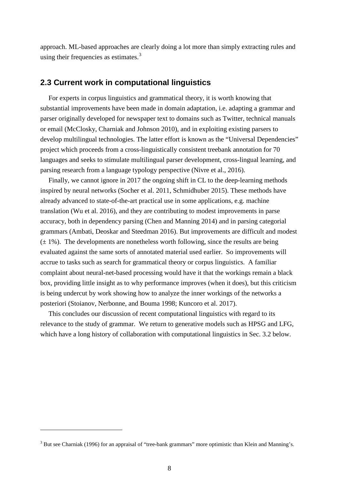approach. ML-based approaches are clearly doing a lot more than simply extracting rules and using their frequencies as estimates.<sup>[3](#page-7-0)</sup>

#### **2.3 Current work in computational linguistics**

For experts in corpus linguistics and grammatical theory, it is worth knowing that substantial improvements have been made in domain adaptation, i.e. adapting a grammar and parser originally developed for newspaper text to domains such as Twitter, technical manuals or email (McClosky, Charniak and Johnson 2010), and in exploiting existing parsers to develop multilingual technologies. The latter effort is known as the "Universal Dependencies" project which proceeds from a cross-linguistically consistent treebank annotation for 70 languages and seeks to stimulate multilingual parser development, cross-lingual learning, and parsing research from a language typology perspective (Nivre et al., 2016).

Finally, we cannot ignore in 2017 the ongoing shift in CL to the deep-learning methods inspired by neural networks (Socher et al. 2011, Schmidhuber 2015). These methods have already advanced to state-of-the-art practical use in some applications, e.g. machine translation (Wu et al. 2016), and they are contributing to modest improvements in parse accuracy, both in dependency parsing (Chen and Manning 2014) and in parsing categorial grammars (Ambati, Deoskar and Steedman 2016). But improvements are difficult and modest  $(\pm 1\%)$ . The developments are nonetheless worth following, since the results are being evaluated against the same sorts of annotated material used earlier. So improvements will accrue to tasks such as search for grammatical theory or corpus linguistics. A familiar complaint about neural-net-based processing would have it that the workings remain a black box, providing little insight as to why performance improves (when it does), but this criticism is being undercut by work showing how to analyze the inner workings of the networks a posteriori (Stoianov, Nerbonne, and Bouma 1998; Kuncoro et al. 2017).

This concludes our discussion of recent computational linguistics with regard to its relevance to the study of grammar. We return to generative models such as HPSG and LFG, which have a long history of collaboration with computational linguistics in Sec. 3.2 below.

<span id="page-7-0"></span><sup>&</sup>lt;sup>3</sup> But see Charniak (1996) for an appraisal of "tree-bank grammars" more optimistic than Klein and Manning's.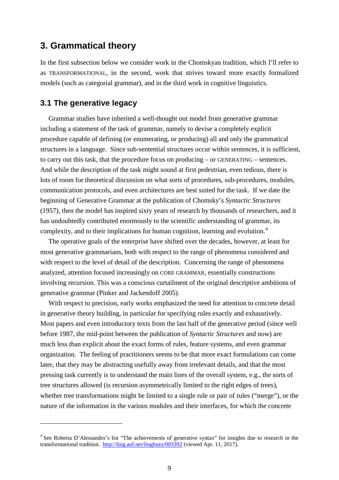## **3. Grammatical theory**

In the first subsection below we consider work in the Chomskyan tradition, which I'll refer to as TRANSFORMATIONAL, in the second, work that strives toward more exactly formalized models (such as categorial grammar), and in the third work in cognitive linguistics.

#### **3.1 The generative legacy**

 $\overline{a}$ 

Grammar studies have inherited a well-thought out model from generative grammar including a statement of the task of grammar, namely to devise a completely explicit procedure capable of defining (or enumerating, or producing) all and only the grammatical structures in a language. Since sub-sentential structures occur within sentences, it is sufficient, to carry out this task, that the procedure focus on producing – or GENERATING – sentences. And while the description of the task might sound at first pedestrian, even tedious, there is lots of room for theoretical discussion on what sorts of procedures, sub-procedures, modules, communication protocols, and even architectures are best suited for the task. If we date the beginning of Generative Grammar at the publication of Chomsky's *Syntactic Structures* (1957), then the model has inspired sixty years of research by thousands of researchers, and it has undoubtedly contributed enormously to the scientific understanding of grammar, its complexity, and to their implications for human cognition, learning and evolution.[4](#page-8-0)

The operative goals of the enterprise have shifted over the decades, however, at least for most generative grammarians, both with respect to the range of phenomena considered and with respect to the level of detail of the description. Concerning the range of phenomena analyzed, attention focused increasingly on CORE GRAMMAR, essentially constructions involving recursion. This was a conscious curtailment of the original descriptive ambitions of generative grammar (Pinker and Jackendoff 2005).

With respect to precision, early works emphasized the need for attention to concrete detail in generative theory building, in particular for specifying rules exactly and exhaustively. Most papers and even introductory texts from the last half of the generative period (since well before 1987, the mid-point between the publication of *Syntactic Structures* and now) are much less than explicit about the exact forms of rules, feature systems, and even grammar organization. The feeling of practitioners seems to be that more exact formulations can come later, that they may be abstracting usefully away from irrelevant details, and that the most pressing task currently is to understand the main lines of the overall system, e.g., the sorts of tree structures allowed (is recursion asymmetrically limited to the right edges of trees), whether tree transformations might be limited to a single rule or pair of rules ("merge"), or the nature of the information in the various modules and their interfaces, for which the concrete

<span id="page-8-0"></span><sup>&</sup>lt;sup>4</sup> See Roberta D'Alessandro's list "The achievements of generative syntax" for insights due to research in the transformational tradition. <http://ling.auf.net/lingbuzz/003392> (viewed Apr. 11, 2017).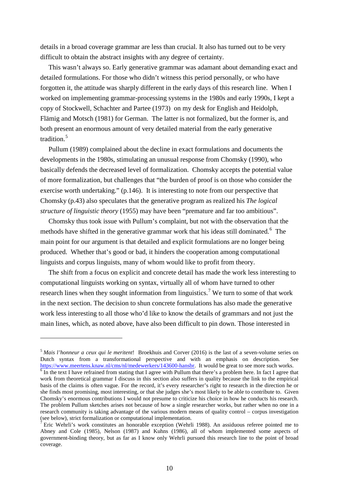details in a broad coverage grammar are less than crucial. It also has turned out to be very difficult to obtain the abstract insights with any degree of certainty.

This wasn't always so. Early generative grammar was adamant about demanding exact and detailed formulations. For those who didn't witness this period personally, or who have forgotten it, the attitude was sharply different in the early days of this research line. When I worked on implementing grammar-processing systems in the 1980s and early 1990s, I kept a copy of Stockwell, Schachter and Partee (1973) on my desk for English and Heidolph, Flämig and Motsch (1981) for German. The latter is not formalized, but the former is, and both present an enormous amount of very detailed material from the early generative tradition.<sup>[5](#page-9-0)</sup>

Pullum (1989) complained about the decline in exact formulations and documents the developments in the 1980s, stimulating an unusual response from Chomsky (1990), who basically defends the decreased level of formalization. Chomsky accepts the potential value of more formalization, but challenges that "the burden of proof is on those who consider the exercise worth undertaking." (p.146). It is interesting to note from our perspective that Chomsky (p.43) also speculates that the generative program as realized his *The logical structure of linguistic theory* (1955) may have been "premature and far too ambitious".

Chomsky thus took issue with Pullum's complaint, but not with the observation that the methods have shifted in the generative grammar work that his ideas still dominated.<sup>[6](#page-9-1)</sup> The main point for our argument is that detailed and explicit formulations are no longer being produced. Whether that's good or bad, it hinders the cooperation among computational linguists and corpus linguists, many of whom would like to profit from theory.

The shift from a focus on explicit and concrete detail has made the work less interesting to computational linguists working on syntax, virtually all of whom have turned to other research lines when they sought information from linguistics.<sup>[7](#page-9-2)</sup> We turn to some of that work in the next section. The decision to shun concrete formulations has also made the generative work less interesting to all those who'd like to know the details of grammars and not just the main lines, which, as noted above, have also been difficult to pin down. Those interested in

<span id="page-9-0"></span><sup>5</sup> *Mais l'honneur a ceux qui le meritent*! Broekhuis and Corver (2016) is the last of a seven-volume series on Dutch syntax from a transformational perspective and with an emphasis on description. See https://www.meertens.knaw.nl/cms/nl/medewerkers/143600-hansbr. It would be great to see more such works.

<span id="page-9-1"></span> $\frac{1}{6}$  $\frac{1}{6}$  $\frac{1}{6}$  In the text I have refrained from stating that I agree with Pullum that there's a problem here. In fact I agree that work from theoretical grammar I discuss in this section also suffers in quality because the link to the empirical basis of the claims is often vague. For the record, it's every researcher's right to research in the direction he or she finds most promising, most interesting, or that she judges she's most likely to be able to contribute to. Given Chomsky's enormous contributions I would not presume to criticize his choice in how he conducts his research. The problem Pullum sketches arises not because of how a single researcher works, but rather when no one in a research community is taking advantage of the various modern means of quality control – corpus investigation (see below), strict formalization or computational implementation.

<span id="page-9-2"></span><sup>&</sup>lt;sup>7</sup> Eric Wehrli's work constitutes an honorable exception (Wehrli 1988). An assiduous referee pointed me to Abney and Cole (1985), Nelson (1987) and Kuhns (1986), all of whom implemented some aspects of government-binding theory, but as far as I know only Wehrli pursued this research line to the point of broad coverage.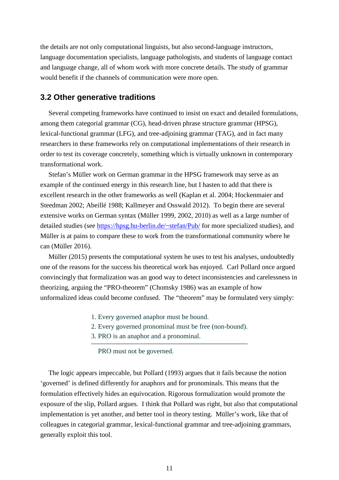the details are not only computational linguists, but also second-language instructors, language documentation specialists, language pathologists, and students of language contact and language change, all of whom work with more concrete details. The study of grammar would benefit if the channels of communication were more open.

#### **3.2 Other generative traditions**

Several competing frameworks have continued to insist on exact and detailed formulations, among them categorial grammar (CG), head-driven phrase structure grammar (HPSG), lexical-functional grammar (LFG), and tree-adjoining grammar (TAG), and in fact many researchers in these frameworks rely on computational implementations of their research in order to test its coverage concretely, something which is virtually unknown in contemporary transformational work.

Stefan's Müller work on German grammar in the HPSG framework may serve as an example of the continued energy in this research line, but I hasten to add that there is excellent research in the other frameworks as well (Kaplan et al. 2004; Hockenmaier and Steedman 2002; Abeillé 1988; Kallmeyer and Osswald 2012). To begin there are several extensive works on German syntax (Müller 1999, 2002, 2010) as well as a large number of detailed studies (see<https://hpsg.hu-berlin.de/~stefan/Pub/> for more specialized studies), and Müller is at pains to compare these to work from the transformational community where he can (Müller 2016).

Müller (2015) presents the computational system he uses to test his analyses, undoubtedly one of the reasons for the success his theoretical work has enjoyed. Carl Pollard once argued convincingly that formalization was an good way to detect inconsistencies and carelessness in theorizing, arguing the "PRO-theorem" (Chomsky 1986) was an example of how unformalized ideas could become confused. The "theorem" may be formulated very simply:

- 1. Every governed anaphor must be bound.
- 2. Every governed pronominal must be free (non-bound).
- 3. PRO is an anaphor and a pronominal.

PRO must not be governed.

The logic appears impeccable, but Pollard (1993) argues that it fails because the notion 'governed' is defined differently for anaphors and for pronominals. This means that the formulation effectively hides an equivocation. Rigorous formalization would promote the exposure of the slip, Pollard argues. I think that Pollard was right, but also that computational implementation is yet another, and better tool in theory testing. Müller's work, like that of colleagues in categorial grammar, lexical-functional grammar and tree-adjoining grammars, generally exploit this tool.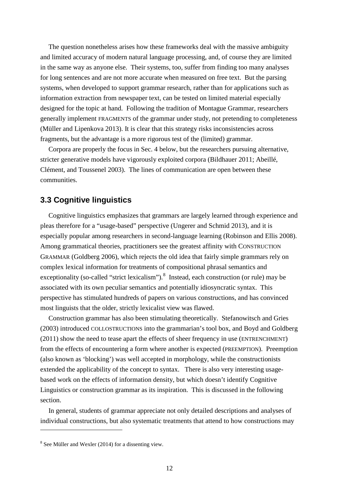The question nonetheless arises how these frameworks deal with the massive ambiguity and limited accuracy of modern natural language processing, and, of course they are limited in the same way as anyone else. Their systems, too, suffer from finding too many analyses for long sentences and are not more accurate when measured on free text. But the parsing systems, when developed to support grammar research, rather than for applications such as information extraction from newspaper text, can be tested on limited material especially designed for the topic at hand. Following the tradition of Montague Grammar, researchers generally implement FRAGMENTS of the grammar under study, not pretending to completeness (Müller and Lipenkova 2013). It is clear that this strategy risks inconsistencies across fragments, but the advantage is a more rigorous test of the (limited) grammar.

Corpora are properly the focus in Sec. 4 below, but the researchers pursuing alternative, stricter generative models have vigorously exploited corpora (Bildhauer 2011; Abeillé, Clément, and Toussenel 2003). The lines of communication are open between these communities.

#### **3.3 Cognitive linguistics**

Cognitive linguistics emphasizes that grammars are largely learned through experience and pleas therefore for a "usage-based" perspective (Ungerer and Schmid 2013), and it is especially popular among researchers in second-language learning (Robinson and Ellis 2008). Among grammatical theories, practitioners see the greatest affinity with CONSTRUCTION GRAMMAR (Goldberg 2006), which rejects the old idea that fairly simple grammars rely on complex lexical information for treatments of compositional phrasal semantics and exceptionality (so-called "strict lexicalism").<sup>[8](#page-11-0)</sup> Instead, each construction (or rule) may be associated with its own peculiar semantics and potentially idiosyncratic syntax. This perspective has stimulated hundreds of papers on various constructions, and has convinced most linguists that the older, strictly lexicalist view was flawed.

Construction grammar has also been stimulating theoretically. Stefanowitsch and Gries (2003) introduced COLLOSTRUCTIONS into the grammarian's tool box, and Boyd and Goldberg (2011) show the need to tease apart the effects of sheer frequency in use (ENTRENCHMENT) from the effects of encountering a form where another is expected (PREEMPTION). Preemption (also known as 'blocking') was well accepted in morphology, while the constructionists extended the applicability of the concept to syntax. There is also very interesting usagebased work on the effects of information density, but which doesn't identify Cognitive Linguistics or construction grammar as its inspiration. This is discussed in the following section.

In general, students of grammar appreciate not only detailed descriptions and analyses of individual constructions, but also systematic treatments that attend to how constructions may

<span id="page-11-0"></span><sup>8</sup> See Müller and Wexler (2014) for a dissenting view.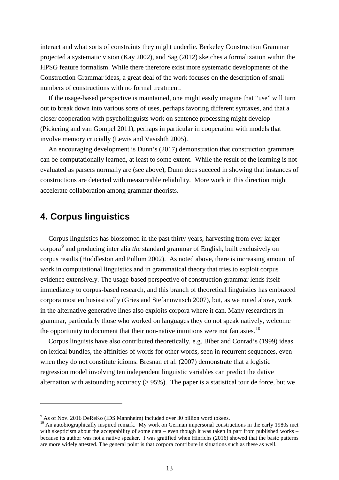interact and what sorts of constraints they might underlie. Berkeley Construction Grammar projected a systematic vision (Kay 2002), and Sag (2012) sketches a formalization within the HPSG feature formalism. While there therefore exist more systematic developments of the Construction Grammar ideas, a great deal of the work focuses on the description of small numbers of constructions with no formal treatment.

If the usage-based perspective is maintained, one might easily imagine that "use" will turn out to break down into various sorts of uses, perhaps favoring different syntaxes, and that a closer cooperation with psycholinguists work on sentence processing might develop (Pickering and van Gompel 2011), perhaps in particular in cooperation with models that involve memory crucially (Lewis and Vasishth 2005).

An encouraging development is Dunn's (2017) demonstration that construction grammars can be computationally learned, at least to some extent. While the result of the learning is not evaluated as parsers normally are (see above), Dunn does succeed in showing that instances of constructions are detected with measureable reliability. More work in this direction might accelerate collaboration among grammar theorists.

## **4. Corpus linguistics**

 $\overline{a}$ 

Corpus linguistics has blossomed in the past thirty years, harvesting from ever larger corpora[9](#page-12-0) and producing inter alia *the* standard grammar of English, built exclusively on corpus results (Huddleston and Pullum 2002). As noted above, there is increasing amount of work in computational linguistics and in grammatical theory that tries to exploit corpus evidence extensively. The usage-based perspective of construction grammar lends itself immediately to corpus-based research, and this branch of theoretical linguistics has embraced corpora most enthusiastically (Gries and Stefanowitsch 2007), but, as we noted above, work in the alternative generative lines also exploits corpora where it can. Many researchers in grammar, particularly those who worked on languages they do not speak natively, welcome the opportunity to document that their non-native intuitions were not fantasies.<sup>[10](#page-12-1)</sup>

Corpus linguists have also contributed theoretically, e.g. Biber and Conrad's (1999) ideas on lexical bundles, the affinities of words for other words, seen in recurrent sequences, even when they do not constitute idioms. Bresnan et al. (2007) demonstrate that a logistic regression model involving ten independent linguistic variables can predict the dative alternation with astounding accuracy  $(> 95\%)$ . The paper is a statistical tour de force, but we

<span id="page-12-0"></span><sup>9</sup> As of Nov. 2016 DeReKo (IDS Mannheim) included over 30 billion word tokens.

<span id="page-12-1"></span><sup>&</sup>lt;sup>10</sup> An autobiographically inspired remark. My work on German impersonal constructions in the early 1980s met with skepticism about the acceptability of some data – even though it was taken in part from published works – because its author was not a native speaker. I was gratified when Hinrichs (2016) showed that the basic patterns are more widely attested. The general point is that corpora contribute in situations such as these as well.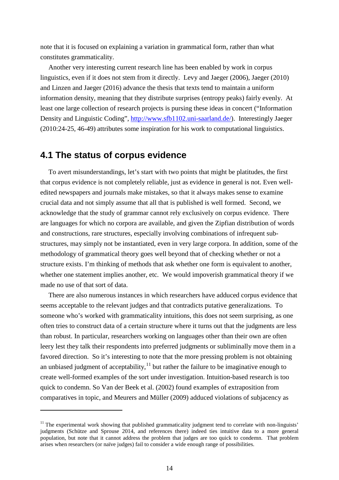note that it is focused on explaining a variation in grammatical form, rather than what constitutes grammaticality.

Another very interesting current research line has been enabled by work in corpus linguistics, even if it does not stem from it directly. Levy and Jaeger (2006), Jaeger (2010) and Linzen and Jaeger (2016) advance the thesis that texts tend to maintain a uniform information density, meaning that they distribute surprises (entropy peaks) fairly evenly. At least one large collection of research projects is pursing these ideas in concert ("Information Density and Linguistic Coding", [http://www.sfb1102.uni-saarland.de/\)](http://www.sfb1102.uni-saarland.de/). Interestingly Jaeger (2010:24-25, 46-49) attributes some inspiration for his work to computational linguistics.

### **4.1 The status of corpus evidence**

 $\overline{a}$ 

To avert misunderstandings, let's start with two points that might be platitudes, the first that corpus evidence is not completely reliable, just as evidence in general is not. Even welledited newspapers and journals make mistakes, so that it always makes sense to examine crucial data and not simply assume that all that is published is well formed. Second, we acknowledge that the study of grammar cannot rely exclusively on corpus evidence. There are languages for which no corpora are available, and given the Zipfian distribution of words and constructions, rare structures, especially involving combinations of infrequent substructures, may simply not be instantiated, even in very large corpora. In addition, some of the methodology of grammatical theory goes well beyond that of checking whether or not a structure exists. I'm thinking of methods that ask whether one form is equivalent to another, whether one statement implies another, etc. We would impoverish grammatical theory if we made no use of that sort of data.

There are also numerous instances in which researchers have adduced corpus evidence that seems acceptable to the relevant judges and that contradicts putative generalizations. To someone who's worked with grammaticality intuitions, this does not seem surprising, as one often tries to construct data of a certain structure where it turns out that the judgments are less than robust. In particular, researchers working on languages other than their own are often leery lest they talk their respondents into preferred judgments or subliminally move them in a favored direction. So it's interesting to note that the more pressing problem is not obtaining an unbiased judgment of acceptability, $11$  but rather the failure to be imaginative enough to create well-formed examples of the sort under investigation. Intuition-based research is too quick to condemn. So Van der Beek et al. (2002) found examples of extraposition from comparatives in topic, and Meurers and Müller (2009) adduced violations of subjacency as

<span id="page-13-0"></span> $11$  The experimental work showing that published grammaticality judgment tend to correlate with non-linguists' judgments (Schütze and Sprouse 2014, and references there) indeed ties intuitive data to a more general population, but note that it cannot address the problem that judges are too quick to condemn. That problem arises when researchers (or naïve judges) fail to consider a wide enough range of possibilities.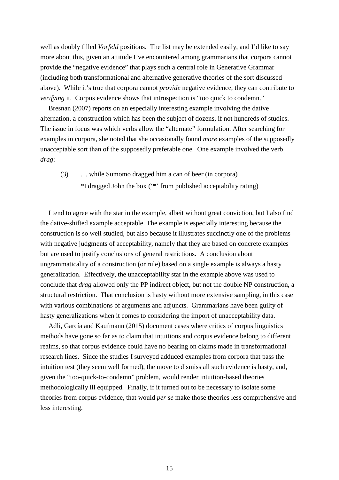well as doubly filled *Vorfeld* positions. The list may be extended easily, and I'd like to say more about this, given an attitude I've encountered among grammarians that corpora cannot provide the "negative evidence" that plays such a central role in Generative Grammar (including both transformational and alternative generative theories of the sort discussed above). While it's true that corpora cannot *provide* negative evidence, they can contribute to *verifying* it. Corpus evidence shows that introspection is "too quick to condemn."

Bresnan (2007) reports on an especially interesting example involving the dative alternation, a construction which has been the subject of dozens, if not hundreds of studies. The issue in focus was which verbs allow the "alternate" formulation. After searching for examples in corpora, she noted that she occasionally found *more* examples of the supposedly unacceptable sort than of the supposedly preferable one. One example involved the verb *drag*:

(3) … while Sumomo dragged him a can of beer (in corpora) \*I dragged John the box ('\*' from published acceptability rating)

I tend to agree with the star in the example, albeit without great conviction, but I also find the dative-shifted example acceptable. The example is especially interesting because the construction is so well studied, but also because it illustrates succinctly one of the problems with negative judgments of acceptability, namely that they are based on concrete examples but are used to justify conclusions of general restrictions. A conclusion about ungrammaticality of a construction (or rule) based on a single example is always a hasty generalization. Effectively, the unacceptability star in the example above was used to conclude that *drag* allowed only the PP indirect object, but not the double NP construction, a structural restriction. That conclusion is hasty without more extensive sampling, in this case with various combinations of arguments and adjuncts. Grammarians have been guilty of hasty generalizations when it comes to considering the import of unacceptability data.

Adli, García and Kaufmann (2015) document cases where critics of corpus linguistics methods have gone so far as to claim that intuitions and corpus evidence belong to different realms, so that corpus evidence could have no bearing on claims made in transformational research lines. Since the studies I surveyed adduced examples from corpora that pass the intuition test (they seem well formed), the move to dismiss all such evidence is hasty, and, given the "too-quick-to-condemn" problem, would render intuition-based theories methodologically ill equipped. Finally, if it turned out to be necessary to isolate some theories from corpus evidence, that would *per se* make those theories less comprehensive and less interesting.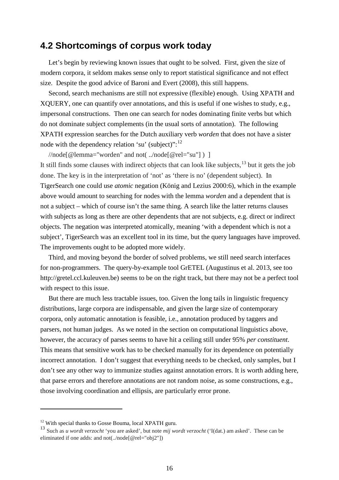## **4.2 Shortcomings of corpus work today**

Let's begin by reviewing known issues that ought to be solved. First, given the size of modern corpora, it seldom makes sense only to report statistical significance and not effect size. Despite the good advice of Baroni and Evert (2008), this still happens.

Second, search mechanisms are still not expressive (flexible) enough. Using XPATH and XQUERY, one can quantify over annotations, and this is useful if one wishes to study, e.g., impersonal constructions. Then one can search for nodes dominating finite verbs but which do not dominate subject complements (in the usual sorts of annotation). The following XPATH expression searches for the Dutch auxiliary verb *worden* that does not have a sister node with the dependency relation 'su' (subject)":<sup>[12](#page-15-0)</sup>

//node[@lemma="worden" and not( ../node[@rel="su"] ) ] It still finds some clauses with indirect objects that can look like subjects,<sup>[13](#page-15-1)</sup> but it gets the job done. The key is in the interpretation of 'not' as 'there is no' (dependent subject). In TigerSearch one could use *atomic* negation (König and Lezius 2000:6), which in the example above would amount to searching for nodes with the lemma *worden* and a dependent that is not a subject – which of course isn't the same thing. A search like the latter returns clauses with subjects as long as there are other dependents that are not subjects, e.g. direct or indirect objects. The negation was interpreted atomically, meaning 'with a dependent which is not a subject', TigerSearch was an excellent tool in its time, but the query languages have improved. The improvements ought to be adopted more widely.

Third, and moving beyond the border of solved problems, we still need search interfaces for non-programmers. The query-by-example tool GrETEL (Augustinus et al. 2013, see too http://gretel.ccl.kuleuven.be) seems to be on the right track, but there may not be a perfect tool with respect to this issue.

But there are much less tractable issues, too. Given the long tails in linguistic frequency distributions, large corpora are indispensable, and given the large size of contemporary corpora, only automatic annotation is feasible, i.e., annotation produced by taggers and parsers, not human judges. As we noted in the section on computational linguistics above, however, the accuracy of parses seems to have hit a ceiling still under 95% *per constituent*. This means that sensitive work has to be checked manually for its dependence on potentially incorrect annotation. I don't suggest that everything needs to be checked, only samples, but I don't see any other way to immunize studies against annotation errors. It is worth adding here, that parse errors and therefore annotations are not random noise, as some constructions, e.g., those involving coordination and ellipsis, are particularly error prone.

<span id="page-15-0"></span><sup>&</sup>lt;sup>12</sup> With special thanks to Gosse Bouma, local XPATH guru.

<span id="page-15-1"></span><sup>13</sup> Such as *u wordt verzocht* 'you are asked', but note *mij wordt verzocht* ('I(dat.) am asked'. These can be eliminated if one adds: and not(../node[@rel="obj2"])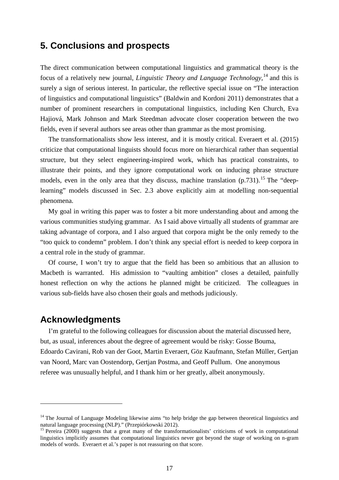## **5. Conclusions and prospects**

The direct communication between computational linguistics and grammatical theory is the focus of a relatively new journal, *Linguistic Theory and Language Technology*, [14](#page-16-0) and this is surely a sign of serious interest. In particular, the reflective special issue on "The interaction of linguistics and computational linguistics" (Baldwin and Kordoni 2011) demonstrates that a number of prominent researchers in computational linguistics, including Ken Church, Eva Hajiová, Mark Johnson and Mark Steedman advocate closer cooperation between the two fields, even if several authors see areas other than grammar as the most promising.

The transformationalists show less interest, and it is mostly critical. Everaert et al. (2015) criticize that computational linguists should focus more on hierarchical rather than sequential structure, but they select engineering-inspired work, which has practical constraints, to illustrate their points, and they ignore computational work on inducing phrase structure models, even in the only area that they discuss, machine translation (p.731).<sup>[15](#page-16-1)</sup> The "deeplearning" models discussed in Sec. 2.3 above explicitly aim at modelling non-sequential phenomena.

My goal in writing this paper was to foster a bit more understanding about and among the various communities studying grammar. As I said above virtually all students of grammar are taking advantage of corpora, and I also argued that corpora might be the only remedy to the "too quick to condemn" problem. I don't think any special effort is needed to keep corpora in a central role in the study of grammar.

Of course, I won't try to argue that the field has been so ambitious that an allusion to Macbeth is warranted. His admission to "vaulting ambition" closes a detailed, painfully honest reflection on why the actions he planned might be criticized. The colleagues in various sub-fields have also chosen their goals and methods judiciously.

#### **Acknowledgments**

 $\overline{a}$ 

I'm grateful to the following colleagues for discussion about the material discussed here, but, as usual, inferences about the degree of agreement would be risky: Gosse Bouma, Edoardo Cavirani, Rob van der Goot, Martin Everaert, Göz Kaufmann, Stefan Müller, Gertjan van Noord, Marc van Oostendorp, Gertjan Postma, and Geoff Pullum. One anonymous referee was unusually helpful, and I thank him or her greatly, albeit anonymously.

<span id="page-16-0"></span><sup>&</sup>lt;sup>14</sup> The Journal of Language Modeling likewise aims "to help bridge the gap between theoretical linguistics and natural language processing (NLP)." (Przepiórkowski 2012).

<span id="page-16-1"></span> $15$  Pereira (2000) suggests that a great many of the transformationalists' criticisms of work in computational linguistics implicitly assumes that computational linguistics never got beyond the stage of working on n-gram models of words. Everaert et al.'s paper is not reassuring on that score.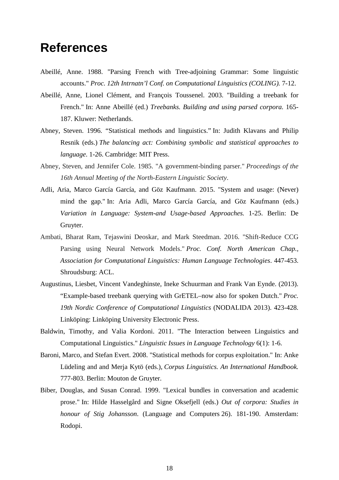# **References**

- Abeillé, Anne. 1988. "Parsing French with Tree-adjoining Grammar: Some linguistic accounts." *Proc. 12th Intrnatn'l Conf. on Computational Linguistics (COLING).* 7-12.
- Abeillé, Anne, Lionel Clément, and François Toussenel. 2003. "Building a treebank for French." In: Anne Abeillé (ed.) *Treebanks. Building and using parsed corpora.* 165- 187. Kluwer: Netherlands.
- Abney, Steven. 1996. "Statistical methods and linguistics." In: Judith Klavans and Philip Resnik (eds.) *The balancing act: Combining symbolic and statistical approaches to language*. 1-26. Cambridge: MIT Press.
- Abney, Steven, and Jennifer Cole. 1985. "A government-binding parser." *Proceedings of the 16th Annual Meeting of the North-Eastern Linguistic Society*.
- Adli, Aria, Marco García García, and Göz Kaufmann. 2015. "System and usage: (Never) mind the gap." In: Aria Adli, Marco García García, and Göz Kaufmann (eds.) *Variation in Language: System-and Usage-based Approaches.* 1-25. Berlin: De Gruyter.
- Ambati, Bharat Ram, Tejaswini Deoskar, and Mark Steedman. 2016. "Shift-Reduce CCG Parsing using Neural Network Models." *Proc. Conf. North American Chap., Association for Computational Linguistics: Human Language Technologies*. 447-453. Shroudsburg: ACL.
- Augustinus, Liesbet, Vincent Vandeghinste, Ineke Schuurman and Frank Van Eynde. (2013). "Example-based treebank querying with GrETEL–now also for spoken Dutch." *Proc. 19th Nordic Conference of Computational Linguistics* (NODALIDA 2013). 423-428. Linköping: Linköping University Electronic Press.
- Baldwin, Timothy, and Valia Kordoni. 2011. "The Interaction between Linguistics and Computational Linguistics." *Linguistic Issues in Language Technology* 6(1): 1-6.
- Baroni, Marco, and Stefan Evert. 2008. "Statistical methods for corpus exploitation." In: Anke Lüdeling and and Merja Kytö (eds.), *Corpus Linguistics. An International Handbook.* 777-803. Berlin: Mouton de Gruyter.
- Biber, Douglas, and Susan Conrad. 1999. "Lexical bundles in conversation and academic prose." In: Hilde Hasselgård and Signe Oksefjell (eds.) *Out of corpora: Studies in honour of Stig Johansson*. (Language and Computers 26). 181-190. Amsterdam: Rodopi.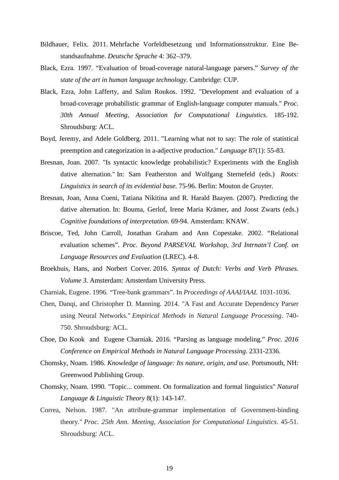- Bildhauer, Felix. 2011. Mehrfache Vorfeldbesetzung und Informationsstruktur. Eine Bestandsaufnahme. *Deutsche Sprache* 4: 362–379.
- Black, Ezra. 1997. "Evaluation of broad-coverage natural-language parsers." *Survey of the state of the art in human language technology*. Cambridge: CUP.
- Black, Ezra, John Lafferty, and Salim Roukos. 1992. "Development and evaluation of a broad-coverage probabilistic grammar of English-language computer manuals." *Proc. 30th Annual Meeting, Association for Computational Linguistics*. 185-192. Shroudsburg: ACL.
- Boyd, Jeremy, and Adele Goldberg. 2011. "Learning what not to say: The role of statistical preemption and categorization in a-adjective production." *Language* 87(1): 55-83.
- Bresnan, Joan. 2007. "Is syntactic knowledge probabilistic? Experiments with the English dative alternation." In: Sam Featherston and Wolfgang Sternefeld (eds.) *Roots: Linguistics in search of its evidential base.* 75-96. Berlin: Mouton de Gruyter.
- Bresnan, Joan, Anna Cueni, Tatiana Nikitina and R. Harald Baayen. (2007). Predicting the dative alternation. In: Bouma, Gerlof, Irene Maria Krämer, and Joost Zwarts (eds.) *Cognitive foundations of interpretation*. 69-94. Amsterdam: KNAW.
- Briscoe, Ted, John Carroll, Jonathan Graham and Ann Copestake. 2002. "Relational evaluation schemes". *Proc. Beyond PARSEVAL Workshop, 3rd Intrnatn'l Conf. on Language Resources and Evaluation* (LREC). 4-8.
- Broekhuis, Hans, and Norbert Corver. 2016. *Syntax of Dutch: Verbs and Verb Phrases. Volume 3.* Amsterdam: Amsterdam University Press.
- Charniak, Eugene. 1996. "Tree-bank grammars". In *Proceedings of AAAI/IAAI*. 1031-1036.
- Chen, Danqi, and Christopher D. Manning. 2014. "A Fast and Accurate Dependency Parser using Neural Networks." *Empirical Methods in Natural Language Processing*. 740- 750. Shroudsburg: ACL.
- Choe, Do Kook and Eugene Charniak. 2016. "Parsing as language modeling." *Proc. 2016 Conference on Empirical Methods in Natural Language Processing*. 2331-2336.
- Chomsky, Noam. 1986. *Knowledge of language: Its nature, origin, and use.* Portsmouth, NH: Greenwood Publishing Group.
- Chomsky, Noam. 1990. "Topic... comment. On formalization and formal linguistics" *Natural Language & Linguistic Theory* 8(1): 143-147.
- Correa, Nelson. 1987. "An attribute-grammar implementation of Government-binding theory." *Proc. 25th Ann. Meeting, Association for Computational Linguistics*. 45-51. Shroudsburg: ACL.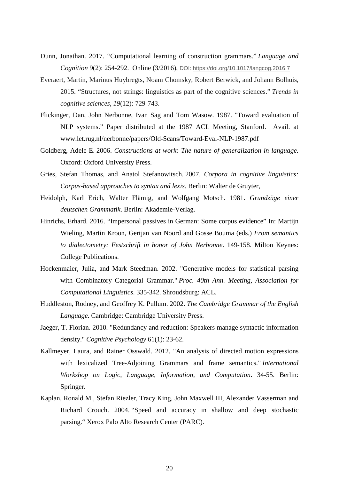- Dunn, Jonathan. 2017. "Computational learning of construction grammars." *Language and Cognition* 9(2): 254-292. Online (3/2016), DOI: <https://doi.org/10.1017/langcog.2016.7>
- Everaert, Martin, Marinus Huybregts, Noam Chomsky, Robert Berwick, and Johann Bolhuis, 2015. "Structures, not strings: linguistics as part of the cognitive sciences." *Trends in cognitive sciences*, *19*(12): 729-743.
- Flickinger, Dan, John Nerbonne, Ivan Sag and Tom Wasow. 1987. "Toward evaluation of NLP systems." Paper distributed at the 1987 ACL Meeting, Stanford. Avail. at www.let.rug.nl/nerbonne/papers/Old-Scans/Toward-Eval-NLP-1987.pdf
- Goldberg, Adele E. 2006. *Constructions at work: The nature of generalization in language.* Oxford: Oxford University Press.
- Gries, Stefan Thomas, and Anatol Stefanowitsch. 2007. *Corpora in cognitive linguistics: Corpus-based approaches to syntax and lexis.* Berlin: Walter de Gruyter,
- Heidolph, Karl Erich, Walter Flämig, and Wolfgang Motsch. 1981. *Grundzüge einer deutschen Grammatik*. Berlin: Akademie-Verlag.
- Hinrichs, Erhard. 2016. "Impersonal passives in German: Some corpus evidence" In: Martijn Wieling, Martin Kroon, Gertjan van Noord and Gosse Bouma (eds.) *From semantics to dialectometry: Festschrift in honor of John Nerbonne*. 149-158. Milton Keynes: College Publications.
- Hockenmaier, Julia, and Mark Steedman. 2002. "Generative models for statistical parsing with Combinatory Categorial Grammar." *Proc. 40th Ann. Meeting, Association for Computational Linguistics*. 335-342. Shroudsburg: ACL.
- Huddleston, Rodney, and Geoffrey K. Pullum. 2002. *The Cambridge Grammar of the English Language*. Cambridge: Cambridge University Press.
- Jaeger, T. Florian. 2010. "Redundancy and reduction: Speakers manage syntactic information density." *Cognitive Psychology* 61(1): 23-62.
- Kallmeyer, Laura, and Rainer Osswald. 2012. "An analysis of directed motion expressions with lexicalized Tree-Adjoining Grammars and frame semantics." *International Workshop on Logic, Language, Information, and Computation*. 34-55. Berlin: Springer.
- Kaplan, Ronald M., Stefan Riezler, Tracy King, John Maxwell III, Alexander Vasserman and Richard Crouch. 2004. "Speed and accuracy in shallow and deep stochastic parsing." Xerox Palo Alto Research Center (PARC).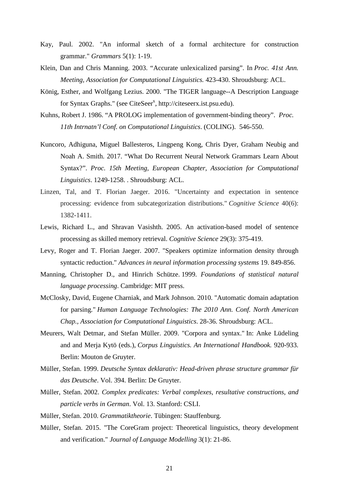- Kay, Paul. 2002. "An informal sketch of a formal architecture for construction grammar." *Grammars* 5(1): 1-19.
- Klein, Dan and Chris Manning. 2003. "Accurate unlexicalized parsing". In *Proc. 41st Ann. Meeting, Association for Computational Linguistics.* 423-430. Shroudsburg: ACL.
- König, Esther, and Wolfgang Lezius. 2000. "The TIGER language--A Description Language for Syntax Graphs." (see CiteSeer<sup>x</sup>, http://citeseerx.ist.psu.edu).
- Kuhns, Robert J. 1986. "A PROLOG implementation of government-binding theory". *Proc. 11th Intrnatn'l Conf. on Computational Linguistics*. (COLING). 546-550.
- Kuncoro, Adhiguna, Miguel Ballesteros, Lingpeng Kong, Chris Dyer, Graham Neubig and Noah A. Smith. 2017. "What Do Recurrent Neural Network Grammars Learn About Syntax?". *Proc. 15th Meeting, European Chapter, Association for Computational Linguistics*. 1249-1258. . Shroudsburg: ACL.
- Linzen, Tal, and T. Florian Jaeger. 2016. "Uncertainty and expectation in sentence processing: evidence from subcategorization distributions." *Cognitive Science* 40(6): 1382-1411.
- Lewis, Richard L., and Shravan Vasishth. 2005. An activation-based model of sentence processing as skilled memory retrieval. *Cognitive Science* 29(3): 375-419.
- Levy, Roger and T. Florian Jaeger. 2007. "Speakers optimize information density through syntactic reduction." *Advances in neural information processing systems* 19. 849-856.
- Manning, Christopher D., and Hinrich Schütze. 1999. *Foundations of statistical natural language processing*. Cambridge: MIT press.
- McClosky, David, Eugene Charniak, and Mark Johnson. 2010. "Automatic domain adaptation for parsing." *Human Language Technologies: The 2010 Ann. Conf. North American Chap., Association for Computational Linguistics*. 28-36. Shroudsburg: ACL.
- Meurers, Walt Detmar, and Stefan Müller. 2009. "Corpora and syntax." In: Anke Lüdeling and and Merja Kytö (eds.), *Corpus Linguistics. An International Handbook.* 920-933. Berlin: Mouton de Gruyter.
- Müller, Stefan. 1999. *Deutsche Syntax deklarativ: Head-driven phrase structure grammar für das Deutsche*. Vol. 394. Berlin: De Gruyter.
- Müller, Stefan. 2002. *Complex predicates: Verbal complexes, resultative constructions, and particle verbs in German*. Vol. 13. Stanford: CSLI.
- Müller, Stefan. 2010. *Grammatiktheorie*. Tübingen: Stauffenburg.
- Müller, Stefan. 2015. "The CoreGram project: Theoretical linguistics, theory development and verification." *Journal of Language Modelling* 3(1): 21-86.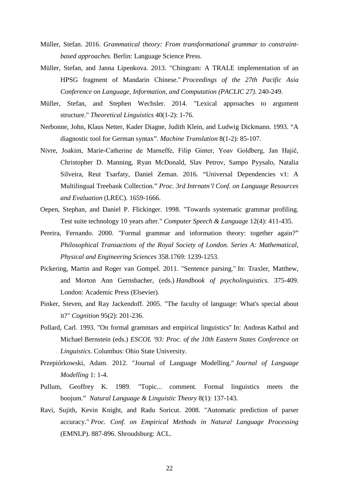- Müller, Stefan. 2016. *Grammatical theory: From transformational grammar to constraintbased approaches.* Berlin: Language Science Press.
- Müller, Stefan, and Janna Lipenkova. 2013. "Chingram: A TRALE implementation of an HPSG fragment of Mandarin Chinese." *Proceedings of the 27th Pacific Asia Conference on Language, Information, and Computation (PACLIC 27)*. 240-249.
- Müller, Stefan, and Stephen Wechsler. 2014. "Lexical approaches to argument structure." *Theoretical Linguistics* 40(1-2): 1-76.
- Nerbonne, John, Klaus Netter, Kader Diagne, Judith Klein, and Ludwig Dickmann. 1993. "A diagnostic tool for German syntax". *Machine Translation* 8(1-2): 85-107.
- Nivre, Joakim, Marie-Catherine de Marneffe, Filip Ginter, Yoav Goldberg, Jan Hajič, Christopher D. Manning, Ryan McDonald, Slav Petrov, Sampo Pyysalo, Natalia Silveira, Reut Tsarfaty, Daniel Zeman. 2016. "Universal Dependencies v1: A Multilingual Treebank Collection." *Proc. 3rd Intrnatn'l Conf. on Language Resources and Evaluation* (LREC). 1659-1666.
- Oepen, Stephan, and Daniel P. Flickinger. 1998. "Towards systematic grammar profiling. Test suite technology 10 years after." *Computer Speech & Language* 12(4): 411-435.
- Pereira, Fernando. 2000. "Formal grammar and information theory: together again?" *Philosophical Transactions of the Royal Society of London. Series A: Mathematical, Physical and Engineering Sciences* 358.1769: 1239-1253.
- Pickering, Martin and Roger van Gompel. 2011. "Sentence parsing." In: Traxler, Matthew, and Morton Ann Gernsbacher, (eds.) *Handbook of psycholinguistics.* 375-409. London: Academic Press (Elsevier).
- Pinker, Steven, and Ray Jackendoff. 2005. "The faculty of language: What's special about it?" *Cognition* 95(2): 201-236.
- Pollard, Carl. 1993. "On formal grammars and empirical linguistics" In: Andreas Kathol and Michael Bernstein (eds.) *ESCOL '93: Proc. of the 10th Eastern States Conference on Linguistics.* Columbus: Ohio State University.
- Przepiórkowski, Adam. 2012. "Journal of Language Modelling." *Journal of Language Modelling* 1: 1-4.
- Pullum, Geoffrey K. 1989. "Topic... comment. Formal linguistics meets the boojum." *Natural Language & Linguistic Theory* 8(1): 137-143.
- Ravi, Sujith, Kevin Knight, and Radu Soricut. 2008. "Automatic prediction of parser accuracy." *Proc. Conf. on Empirical Methods in Natural Language Processing* (EMNLP). 887-896. Shroudsburg: ACL.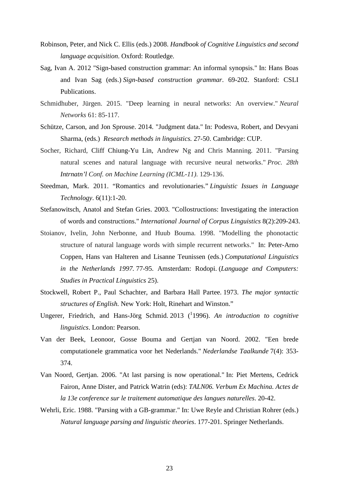- Robinson, Peter, and Nick C. Ellis (eds.) 2008. *Handbook of Cognitive Linguistics and second language acquisition*. Oxford: Routledge.
- Sag, Ivan A. 2012 "Sign-based construction grammar: An informal synopsis." In: Hans Boas and Ivan Sag (eds.) *Sign-based construction grammar*. 69-202. Stanford: CSLI Publications.
- Schmidhuber, Jürgen. 2015. "Deep learning in neural networks: An overview." *Neural Networks* 61: 85-117.
- Schütze, Carson, and Jon Sprouse. 2014. "Judgment data." In: Podesva, Robert, and Devyani Sharma, (eds.) *Research methods in linguistics.* 27-50. Cambridge: CUP.
- Socher, Richard, Cliff Chiung-Yu Lin, Andrew Ng and Chris Manning. 2011. "Parsing natural scenes and natural language with recursive neural networks." *Proc. 28th Intrnatn'l Conf. on Machine Learning (ICML-11)*. 129-136.
- Steedman, Mark. 2011. "Romantics and revolutionaries." *Linguistic Issues in Language Technology*. 6(11):1-20.
- Stefanowitsch, Anatol and Stefan Gries. 2003. "Collostructions: Investigating the interaction of words and constructions." *International Journal of Corpus Linguistics* 8(2):209-243.
- Stoianov, Ivelin, John Nerbonne, and Huub Bouma. 1998. "Modelling the phonotactic structure of natural language words with simple recurrent networks." In: Peter-Arno Coppen, Hans van Halteren and Lisanne Teunissen (eds.) *Computational Linguistics in the Netherlands 1997.* 77-95. Amsterdam: Rodopi. (*Language and Computers: Studies in Practical Linguistics* 25).
- Stockwell, Robert P., Paul Schachter, and Barbara Hall Partee. 1973. *The major syntactic structures of English.* New York: Holt, Rinehart and Winston."
- Ungerer, Friedrich, and Hans-Jörg Schmid. 2013 ( 1 1996). *An introduction to cognitive linguistics*. London: Pearson.
- Van der Beek, Leonoor, Gosse Bouma and Gertjan van Noord. 2002. "Een brede computationele grammatica voor het Nederlands." *Nederlandse Taalkunde* 7(4): 353- 374.
- Van Noord, Gertjan. 2006. "At last parsing is now operational." In: Piet Mertens, Cedrick Fairon, Anne Dister, and Patrick Watrin (eds): *TALN06. Verbum Ex Machina. Actes de la 13e conference sur le traitement automatique des langues naturelles*. 20-42.
- Wehrli, Eric. 1988. "Parsing with a GB-grammar." In: Uwe Reyle and Christian Rohrer (eds.) *Natural language parsing and linguistic theories*. 177-201. Springer Netherlands.